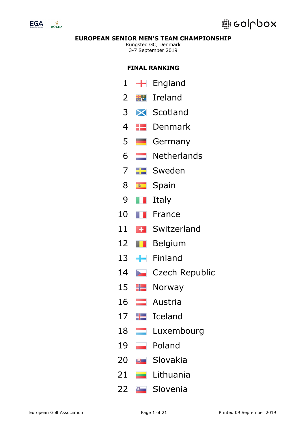

# **edpbox**

# **EUROPEAN SENIOR MEN'S TEAM CHAMPIONSHIP**

Rungsted GC, Denmark 3-7 September 2019

# **FINAL RANKING**

- $\blacksquare$  England
- $2 \div 1$  Ireland
- Scotland
- **ED** Denmark
- 5 Germany
- Netherlands
- **FF** Sweden
- **Spain**
- **II** Italy
- **France**
- Switzerland
- **Belgium**
- 13 Finland
- 14 Czech Republic
- 15  $H$  Norway
- **Austria**
- $\equiv$  Iceland
- **Luxembourg**
- Poland
- Slovakia
- **Lithuania**
- **B** Slovenia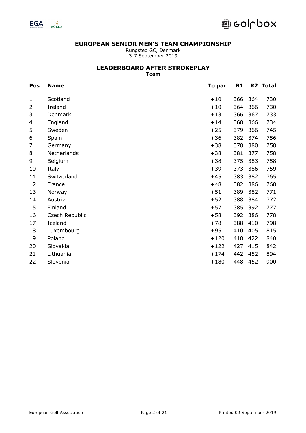

Rungsted GC, Denmark 3-7 September 2019

### **LEADERBOARD AFTER STROKEPLAY**

**Team**

| Pos            | <b>Name</b>    | <u>To par</u> | R <sub>1</sub> | R2  | <b>Total</b> |
|----------------|----------------|---------------|----------------|-----|--------------|
|                |                |               |                |     |              |
| 1              | Scotland       | $+10$         | 366            | 364 | 730          |
| $\overline{2}$ | Ireland        | $+10$         | 364            | 366 | 730          |
| 3              | Denmark        | $+13$         | 366            | 367 | 733          |
| 4              | England        | $+14$         | 368            | 366 | 734          |
| 5              | Sweden         | $+25$         | 379            | 366 | 745          |
| 6              | Spain          | $+36$         | 382            | 374 | 756          |
| 7              | Germany        | $+38$         | 378            | 380 | 758          |
| 8              | Netherlands    | $+38$         | 381            | 377 | 758          |
| 9              | Belgium        | $+38$         | 375            | 383 | 758          |
| 10             | Italy          | $+39$         | 373            | 386 | 759          |
| 11             | Switzerland    | $+45$         | 383            | 382 | 765          |
| 12             | France         | $+48$         | 382            | 386 | 768          |
| 13             | Norway         | $+51$         | 389            | 382 | 771          |
| 14             | Austria        | $+52$         | 388            | 384 | 772          |
| 15             | Finland        | $+57$         | 385            | 392 | 777          |
| 16             | Czech Republic | $+58$         | 392            | 386 | 778          |
| 17             | Iceland        | $+78$         | 388            | 410 | 798          |
| 18             | Luxembourg     | $+95$         | 410            | 405 | 815          |
| 19             | Poland         | $+120$        | 418            | 422 | 840          |
| 20             | Slovakia       | $+122$        | 427            | 415 | 842          |
| 21             | Lithuania      | $+174$        | 442            | 452 | 894          |
| 22             | Slovenia       | $+180$        | 448            | 452 | 900          |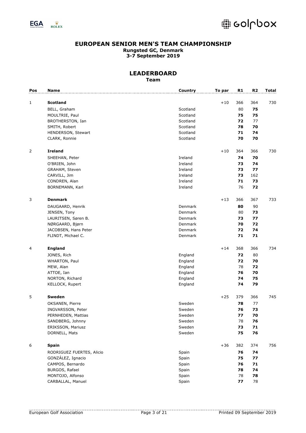

# @ colupox

### **EUROPEAN SENIOR MEN'S TEAM CHAMPIONSHIP Rungsted GC, Denmark 3-7 September 2019**

| Pos | Name                      | Country  | To par | R1  | R <sub>2</sub> | <b>Total</b> |
|-----|---------------------------|----------|--------|-----|----------------|--------------|
|     |                           |          |        |     |                |              |
| 1   | <b>Scotland</b>           |          | $+10$  | 366 | 364            | 730          |
|     | BELL, Graham              | Scotland |        | 80  | 75             |              |
|     | MOULTRIE, Paul            | Scotland |        | 75  | 75             |              |
|     | BROTHERSTON, Ian          | Scotland |        | 72  | 77             |              |
|     | SMITH, Robert             | Scotland |        | 78  | 70             |              |
|     | HENDERSON, Stewart        | Scotland |        | 71  | 74             |              |
|     | CLARK, Ronnie             | Scotland |        | 70  | 70             |              |
| 2   | <b>Ireland</b>            |          | $+10$  | 364 | 366            | 730          |
|     | SHEEHAN, Peter            | Ireland  |        | 74  | 70             |              |
|     | O'BRIEN, John             | Ireland  |        | 73  | 74             |              |
|     | GRAHAM, Steven            | Ireland  |        | 73  | 77             |              |
|     | CARVILL, Jim              | Ireland  |        | 73  | 162            |              |
|     | CONDREN, Alan             | Ireland  |        | 71  | 73             |              |
|     | BORNEMANN, Karl           | Ireland  |        | 76  | 72             |              |
|     |                           |          |        |     |                |              |
| 3   | <b>Denmark</b>            |          | $+13$  | 366 | 367            | 733          |
|     | DAUGAARD, Henrik          | Denmark  |        | 80  | 90             |              |
|     | JENSEN, Tony              | Denmark  |        | 80  | 73             |              |
|     | LAURITSEN, Søren B.       | Denmark  |        | 73  | 77             |              |
|     | NØRGAARD, Bjørn           | Denmark  |        | 70  | 72             |              |
|     | JACOBSEN, Hans Peter      | Denmark  |        | 72  | 74             |              |
|     | FLINDT, Michael C.        | Denmark  |        | 71  | 71             |              |
| 4   | <b>England</b>            |          | $+14$  | 368 | 366            | 734          |
|     | JONES, Rich               | England  |        | 72  | 80             |              |
|     | WHARTON, Paul             | England  |        | 72  | 70             |              |
|     | MEW, Alan                 | England  |        | 78  | 72             |              |
|     | ATTOE, Ian                | England  |        | 76  | 70             |              |
|     |                           |          |        | 74  | 75             |              |
|     | NORTON, Richard           | England  |        |     |                |              |
|     | KELLOCK, Rupert           | England  |        | 74  | 79             |              |
| 5   | Sweden                    |          | $+25$  | 379 | 366            | 745          |
|     | OKSANEN, Pierre           | Sweden   |        | 78  | 77             |              |
|     | INGVARSSON, Peter         | Sweden   |        | 76  | 73             |              |
|     | PERNHEDEN, Mattias        | Sweden   |        | 77  | 70             |              |
|     | SANDBERG, Johnny          | Sweden   |        | 78  | 76             |              |
|     | ERIKSSON, Mariusz         | Sweden   |        | 73  | 71             |              |
|     | DORNELL, Mats             | Sweden   |        | 75  | 76             |              |
| 6   | <b>Spain</b>              |          | $+36$  | 382 | 374            | 756          |
|     | RODRIGUEZ FUERTES, Alicio | Spain    |        | 76  | 74             |              |
|     | GONZÁLEZ, Ignacio         | Spain    |        | 75  | 77             |              |
|     | CAMPOS, Bernardo          | Spain    |        | 76  | 71             |              |
|     | BURGOS, Rafael            | Spain    |        | 78  | 74             |              |
|     | MONTOJO, Alfonso          | Spain    |        | 78  | 78             |              |
|     | CARBALLAL, Manuel         | Spain    |        | 77  | 78             |              |
|     |                           |          |        |     |                |              |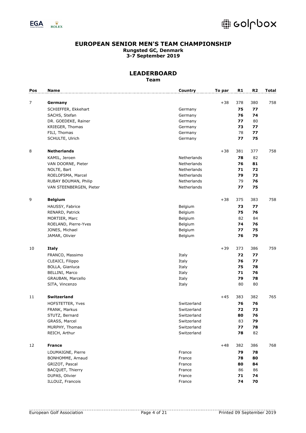



| Pos | Name                    | Country     | To par | R1  | R <sub>2</sub> | <b>Total</b> |
|-----|-------------------------|-------------|--------|-----|----------------|--------------|
|     |                         |             |        |     |                |              |
| 7   | Germany                 |             | $+38$  | 378 | 380            | 758          |
|     | SCHIEFFER, Ekkehart     | Germany     |        | 75  | 77             |              |
|     | SACHS, Stefan           | Germany     |        | 76  | 74             |              |
|     | DR. GOEDEKE, Rainer     | Germany     |        | 77  | 80             |              |
|     | KRIEGER, Thomas         | Germany     |        | 73  | 77             |              |
|     | FILI, Thomas            | Germany     |        | 78  | 77             |              |
|     | SCHULTE, Ulrich         | Germany     |        | 77  | 75             |              |
| 8   | <b>Netherlands</b>      |             | $+38$  | 381 | 377            | 758          |
|     | KAMIL, Jeroen           | Netherlands |        | 78  | 82             |              |
|     | VAN DOORNE, Pieter      | Netherlands |        | 76  | 81             |              |
|     | NOLTE, Bart             | Netherlands |        | 71  | 72             |              |
|     | ROELOFSMA, Marcel       | Netherlands |        | 79  | 73             |              |
|     | RUBAY BOUMAN, Philip    | Netherlands |        | 79  | 76             |              |
|     | VAN STEENBERGEN, Pieter | Netherlands |        | 77  | 75             |              |
| 9   | <b>Belgium</b>          |             | $+38$  | 375 | 383            | 758          |
|     | HAUSSY, Fabrice         | Belgium     |        | 73  | 77             |              |
|     | RENARD, Patrick         | Belgium     |        | 75  | 76             |              |
|     | MORTIER, Marc           | Belgium     |        | 82  | 84             |              |
|     | ROELAND, Pierre-Yves    | Belgium     |        | 74  | 76             |              |
|     | JONES, Michael          | Belgium     |        | 77  | 75             |              |
|     | JAMAR, Olivier          | Belgium     |        | 76  | 79             |              |
|     |                         |             |        |     |                |              |
| 10  | <b>Italy</b>            |             | $+39$  | 373 | 386            | 759          |
|     | FRANCO, Massimo         | Italy       |        | 72  | 77             |              |
|     | CLEAICI, Filippo        | Italy       |        | 76  | 77             |              |
|     | BOLLA, Gianluca         | Italy       |        | 75  | 78             |              |
|     | BELLINI, Marco          | Italy       |        | 71  | 76             |              |
|     | GRAUBAN, Marcello       | Italy       |        | 79  | 78             |              |
|     | SITA, Vincenzo          | Italy       |        | 80  | 80             |              |
| 11  | Switzerland             |             | $+45$  | 383 | 382            | 765          |
|     | HOFSTETTER, Yves        | Switzerland |        | 76  | 76             |              |
|     | FRANK, Markus           | Switzerland |        | 72  | 73             |              |
|     | STUTZ, Bernard          | Switzerland |        | 80  | 76             |              |
|     | GRASS, Marcel           | Switzerland |        | 83  | 79             |              |
|     | MURPHY, Thomas          | Switzerland |        | 77  | 78             |              |
|     | REICH, Arthur           | Switzerland |        | 78  | 82             |              |
|     |                         |             |        |     |                |              |
| 12  | <b>France</b>           |             | $+48$  | 382 | 386            | 768          |
|     | LOUMAIGNE, Pierre       | France      |        | 79  | 78             |              |
|     | BONHOMME, Arnaud        | France      |        | 78  | 80             |              |
|     | GRIZOT, Pascal          | France      |        | 80  | 84             |              |
|     | BACQUET, Thierry        | France      |        | 86  | 86             |              |
|     | DUPAS, Olivier          | France      |        | 71  | 74             |              |
|     | ILLOUZ, Francois        | France      |        | 74  | 70             |              |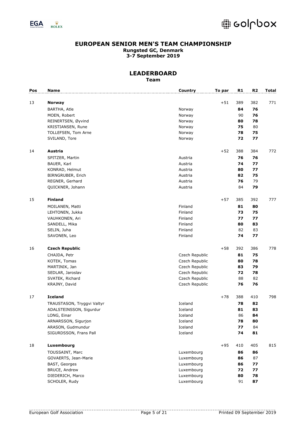

# @ colupox

### **EUROPEAN SENIOR MEN'S TEAM CHAMPIONSHIP Rungsted GC, Denmark 3-7 September 2019**

| Pos | <b>Name</b>                | Country        | To par | R1  | R <sub>2</sub> | <b>Total</b> |
|-----|----------------------------|----------------|--------|-----|----------------|--------------|
|     |                            |                |        |     |                |              |
| 13  | <b>Norway</b>              |                | $+51$  | 389 | 382            | 771          |
|     | BARTHA, Atle               | Norway         |        | 84  | 76             |              |
|     | MOEN, Robert               | Norway         |        | 90  | 76             |              |
|     | REINERTSEN, Øyvind         | Norway         |        | 80  | 78             |              |
|     | KRISTIANSEN, Rune          | Norway         |        | 75  | 80             |              |
|     | TOLLEFSEN, Tom Arne        | Norway         |        | 78  | 75             |              |
|     | SVILAND, Tore              | Norway         |        | 72  | 77             |              |
| 14  | Austria                    |                | $+52$  | 388 | 384            | 772          |
|     | SPITZER, Martin            | Austria        |        | 76  | 76             |              |
|     | BAUER, Karl                | Austria        |        | 74  | 77             |              |
|     | KONRAD, Helmut             | Austria        |        | 80  | 77             |              |
|     | BIRNGRUBER, Erich          | Austria        |        | 82  | 75             |              |
|     | REGNER, Gerhard            | Austria        |        | 76  | 79             |              |
|     | QUICKNER, Johann           | Austria        |        | 84  | 79             |              |
| 15  | <b>Finland</b>             |                | $+57$  | 385 | 392            | 777          |
|     | MOILANEN, Matti            | Finland        |        | 81  | 80             |              |
|     | LEHTONEN, Jukka            | Finland        |        | 73  | 75             |              |
|     | VAUHKONEN, Ari             | Finland        |        | 77  | 77             |              |
|     | SANDELL, Mika              | Finland        |        | 80  | 83             |              |
|     | SELIN, Juha                | Finland        |        | 82  | 83             |              |
|     | SAVONEN, Leo               | Finland        |        | 74  | 77             |              |
| 16  | <b>Czech Republic</b>      |                | $+58$  | 392 | 386            | 778          |
|     |                            |                |        |     |                |              |
|     | CHAJDA, Petr               | Czech Republic |        | 81  | 75             |              |
|     | KOTEK, Tomas               | Czech Republic |        | 80  | 78             |              |
|     | MARTINIK, Jan              | Czech Republic |        | 83  | 79             |              |
|     | SEDLAR, Jaroslav           | Czech Republic |        | 72  | 78             |              |
|     | SVATEK, Richard            | Czech Republic |        | 88  | 82             |              |
|     | KRAJNY, David              | Czech Republic |        | 76  | 76             |              |
| 17  | <b>Iceland</b>             |                | $+78$  | 388 | 410            | 798          |
|     | TRAUSTASON, Tryggvi Valtyr | Iceland        |        | 78  | 82             |              |
|     | ADALSTEINSSON, Sigurdur    | Iceland        |        | 81  | 83             |              |
|     | LONG, Einar                | Iceland        |        | 86  | 84             |              |
|     | ARNARSSON, Sigurjon        | Iceland        |        | 78  | 80             |              |
|     | ARASON, Gudmundur          | Iceland        |        | 77  | 84             |              |
|     | SIGURDSSON, Frans Pall     | Iceland        |        | 74  | 81             |              |
| 18  | Luxembourg                 |                | $+95$  | 410 | 405            | 815          |
|     | TOUSSAINT, Marc            | Luxembourg     |        | 86  | 86             |              |
|     | GOVAERTS, Jean-Marie       | Luxembourg     |        | 86  | 87             |              |
|     | <b>BAST, Georges</b>       | Luxembourg     |        | 86  | 77             |              |
|     | BRUCE, Andrew              | Luxembourg     |        | 72  | 77             |              |
|     | DIEDERICH, Marco           | Luxembourg     |        | 80  | 78             |              |
|     | SCHOLER, Rudy              | Luxembourg     |        | 91  | 87             |              |
|     |                            |                |        |     |                |              |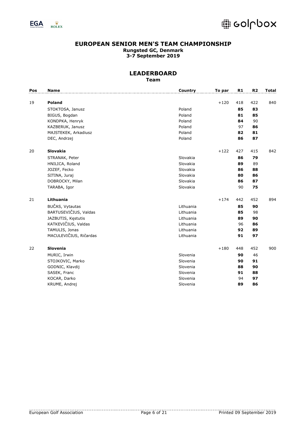



| Pos | Name                   | Country   | To par | R1  | R <sub>2</sub> | Total |
|-----|------------------------|-----------|--------|-----|----------------|-------|
| 19  | <b>Poland</b>          |           | $+120$ | 418 | 422            | 840   |
|     | STOKTOSA, Janusz       | Poland    |        | 85  | 83             |       |
|     | BIGUS, Bogdan          | Poland    |        | 81  | 85             |       |
|     | KONDPKA, Henryk        | Poland    |        | 84  | 90             |       |
|     | KAZBERUK, Janusz       | Poland    |        | 97  | 86             |       |
|     | MAJSTEKEK, Arkadiusz   | Poland    |        | 82  | 81             |       |
|     | DEC, Andrzej           | Poland    |        | 86  | 87             |       |
| 20  | <b>Slovakia</b>        |           | $+122$ | 427 | 415            | 842   |
|     | STRANAK, Peter         | Slovakia  |        | 86  | 79             |       |
|     | HNILICA, Roland        | Slovakia  |        | 89  | 89             |       |
|     | JOZEF, Fecko           | Slovakia  |        | 86  | 88             |       |
|     | SITINA, Juraj          | Slovakia  |        | 80  | 86             |       |
|     | DOBROCKY, Milan        | Slovakia  |        | 86  | 87             |       |
|     | TARABA, Igor           | Slovakia  |        | 90  | 75             |       |
| 21  | Lithuania              |           | $+174$ | 442 | 452            | 894   |
|     | BUČAS, Vytautas        | Lithuania |        | 85  | 90             |       |
|     | BARTUSEVIČIUS, Valdas  | Lithuania |        | 85  | 98             |       |
|     | JAZBUTIS, Kęstutis     | Lithuania |        | 89  | 90             |       |
|     | KATKEVIČIUS, Valdas    | Lithuania |        | 96  | 86             |       |
|     | TAMULIS, Jonas         | Lithuania |        | 92  | 89             |       |
|     | MACULEVIČIUS, Ričardas | Lithuania |        | 91  | 97             |       |
| 22  | Slovenia               |           | $+180$ | 448 | 452            | 900   |
|     | MURIC, Irwin           | Slovenia  |        | 90  | 46             |       |
|     | STOJKOVIC, Marko       | Slovenia  |        | 90  | 91             |       |
|     | GODNIC, Klavdij        | Slovenia  |        | 88  | 90             |       |
|     | SASEK, Franc           | Slovenia  |        | 91  | 88             |       |
|     | KOCAR, Darko           | Slovenia  |        | 94  | 97             |       |
|     | KRUME, Andrej          | Slovenia  |        | 89  | 86             |       |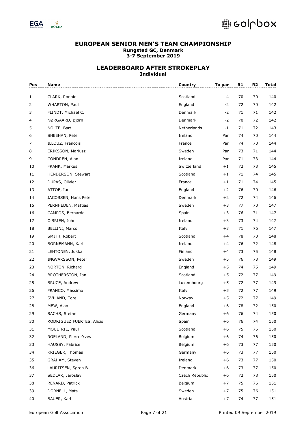

| Pos | <b>Name</b>               | <b>Country</b> | To par | R1 | R2 | <b>Total</b> |
|-----|---------------------------|----------------|--------|----|----|--------------|
| 1   | CLARK, Ronnie             | Scotland       | $-4$   | 70 | 70 | 140          |
| 2   | WHARTON, Paul             | England        | $-2$   | 72 | 70 | 142          |
| 3   | FLINDT, Michael C.        | Denmark        | $-2$   | 71 | 71 | 142          |
| 4   | NØRGAARD, Bjørn           | Denmark        | $-2$   | 70 | 72 | 142          |
| 5   | NOLTE, Bart               | Netherlands    | $-1$   | 71 | 72 | 143          |
| 6   | SHEEHAN, Peter            | Ireland        | Par    | 74 | 70 | 144          |
| 7   | ILLOUZ, Francois          | France         | Par    | 74 | 70 | 144          |
| 8   | ERIKSSON, Mariusz         | Sweden         | Par    | 73 | 71 | 144          |
| 9   | CONDREN, Alan             | Ireland        | Par    | 71 | 73 | 144          |
| 10  | FRANK, Markus             | Switzerland    | $+1$   | 72 | 73 | 145          |
| 11  | HENDERSON, Stewart        | Scotland       | $+1$   | 71 | 74 | 145          |
| 12  | DUPAS, Olivier            | France         | $+1$   | 71 | 74 | 145          |
| 13  | ATTOE, Ian                | England        | $+2$   | 76 | 70 | 146          |
| 14  | JACOBSEN, Hans Peter      | Denmark        | $+2$   | 72 | 74 | 146          |
| 15  | PERNHEDEN, Mattias        | Sweden         | $+3$   | 77 | 70 | 147          |
| 16  | CAMPOS, Bernardo          | Spain          | $+3$   | 76 | 71 | 147          |
| 17  | O'BRIEN, John             | Ireland        | $+3$   | 73 | 74 | 147          |
| 18  | BELLINI, Marco            | Italy          | $+3$   | 71 | 76 | 147          |
| 19  | SMITH, Robert             | Scotland       | $+4$   | 78 | 70 | 148          |
| 20  | BORNEMANN, Karl           | Ireland        | $+4$   | 76 | 72 | 148          |
| 21  | LEHTONEN, Jukka           | Finland        | $+4$   | 73 | 75 | 148          |
| 22  | INGVARSSON, Peter         | Sweden         | $+5$   | 76 | 73 | 149          |
| 23  | NORTON, Richard           | England        | $+5$   | 74 | 75 | 149          |
| 24  | BROTHERSTON, Ian          | Scotland       | $+5$   | 72 | 77 | 149          |
| 25  | <b>BRUCE, Andrew</b>      | Luxembourg     | $+5$   | 72 | 77 | 149          |
| 26  | FRANCO, Massimo           | Italy          | $+5$   | 72 | 77 | 149          |
| 27  | SVILAND, Tore             | Norway         | $+5$   | 72 | 77 | 149          |
| 28  | MEW, Alan                 | England        | $+6$   | 78 | 72 | 150          |
| 29  | SACHS, Stefan             | Germany        | $+6$   | 76 | 74 | 150          |
| 30  | RODRIGUEZ FUERTES, Alicio | Spain          | $+6$   | 76 | 74 | 150          |
| 31  | MOULTRIE, Paul            | Scotland       | $+6$   | 75 | 75 | 150          |
| 32  | ROELAND, Pierre-Yves      | Belgium        | $+6$   | 74 | 76 | 150          |
| 33  | HAUSSY, Fabrice           | Belgium        | $+6$   | 73 | 77 | 150          |
| 34  | KRIEGER, Thomas           | Germany        | $+6$   | 73 | 77 | 150          |
| 35  | GRAHAM, Steven            | Ireland        | $+6$   | 73 | 77 | 150          |
| 36  | LAURITSEN, Søren B.       | Denmark        | $+6$   | 73 | 77 | 150          |
| 37  | SEDLAR, Jaroslav          | Czech Republic | $+6$   | 72 | 78 | 150          |
| 38  | RENARD, Patrick           | Belgium        | $+7$   | 75 | 76 | 151          |
| 39  | DORNELL, Mats             | Sweden         | $+7$   | 75 | 76 | 151          |
| 40  | BAUER, Karl               | Austria        | $+7$   | 74 | 77 | 151          |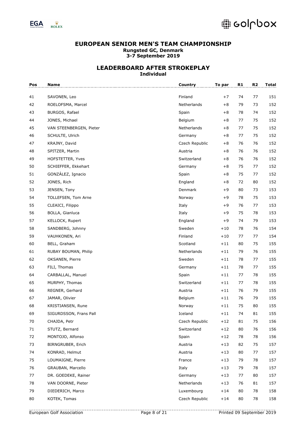

| Pos | <b>Name</b>             | Country        | To par | R1 | R <sub>2</sub> | <b>Total</b> |
|-----|-------------------------|----------------|--------|----|----------------|--------------|
| 41  | SAVONEN, Leo            | Finland        | $+7$   | 74 | 77             | 151          |
| 42  | ROELOFSMA, Marcel       | Netherlands    | $+8$   | 79 | 73             | 152          |
| 43  | BURGOS, Rafael          | Spain          | $+8$   | 78 | 74             | 152          |
| 44  | JONES, Michael          | Belgium        | $+8$   | 77 | 75             | 152          |
| 45  | VAN STEENBERGEN, Pieter | Netherlands    | $+8$   | 77 | 75             | 152          |
| 46  | SCHULTE, Ulrich         | Germany        | $+8$   | 77 | 75             | 152          |
| 47  | KRAJNY, David           | Czech Republic | $+8$   | 76 | 76             | 152          |
| 48  | SPITZER, Martin         | Austria        | $+8$   | 76 | 76             | 152          |
| 49  | HOFSTETTER, Yves        | Switzerland    | $+8$   | 76 | 76             | 152          |
| 50  | SCHIEFFER, Ekkehart     | Germany        | $+8$   | 75 | 77             | 152          |
| 51  | GONZÁLEZ, Ignacio       | Spain          | $+8$   | 75 | 77             | 152          |
| 52  | JONES, Rich             | England        | $+8$   | 72 | 80             | 152          |
| 53  | JENSEN, Tony            | Denmark        | $+9$   | 80 | 73             | 153          |
| 54  | TOLLEFSEN, Tom Arne     | Norway         | +9     | 78 | 75             | 153          |
| 55  | CLEAICI, Filippo        | Italy          | $+9$   | 76 | 77             | 153          |
| 56  | BOLLA, Gianluca         | Italy          | $+9$   | 75 | 78             | 153          |
| 57  | KELLOCK, Rupert         | England        | $+9$   | 74 | 79             | 153          |
| 58  | SANDBERG, Johnny        | Sweden         | $+10$  | 78 | 76             | 154          |
| 59  | VAUHKONEN, Ari          | Finland        | $+10$  | 77 | 77             | 154          |
| 60  | BELL, Graham            | Scotland       | $+11$  | 80 | 75             | 155          |
| 61  | RUBAY BOUMAN, Philip    | Netherlands    | $+11$  | 79 | 76             | 155          |
| 62  | OKSANEN, Pierre         | Sweden         | $+11$  | 78 | 77             | 155          |
| 63  | FILI, Thomas            | Germany        | $+11$  | 78 | 77             | 155          |
| 64  | CARBALLAL, Manuel       | Spain          | $+11$  | 77 | 78             | 155          |
| 65  | MURPHY, Thomas          | Switzerland    | $+11$  | 77 | 78             | 155          |
| 66  | REGNER, Gerhard         | Austria        | $+11$  | 76 | 79             | 155          |
| 67  | JAMAR, Olivier          | Belgium        | $+11$  | 76 | 79             | 155          |
| 68  | KRISTIANSEN, Rune       | Norway         | $+11$  | 75 | 80             | 155          |
| 69  | SIGURDSSON, Frans Pall  | Iceland        | $+11$  | 74 | 81             | 155          |
| 70  | CHAJDA, Petr            | Czech Republic | $+12$  | 81 | 75             | 156          |
| 71  | STUTZ, Bernard          | Switzerland    | $+12$  | 80 | 76             | 156          |
| 72  | MONTOJO, Alfonso        | Spain          | $+12$  | 78 | 78             | 156          |
| 73  | BIRNGRUBER, Erich       | Austria        | $+13$  | 82 | 75             | 157          |
| 74  | KONRAD, Helmut          | Austria        | $+13$  | 80 | 77             | 157          |
| 75  | LOUMAIGNE, Pierre       | France         | $+13$  | 79 | 78             | 157          |
| 76  | GRAUBAN, Marcello       | Italy          | $+13$  | 79 | 78             | 157          |
| 77  | DR. GOEDEKE, Rainer     | Germany        | $+13$  | 77 | 80             | 157          |
| 78  | VAN DOORNE, Pieter      | Netherlands    | $+13$  | 76 | 81             | 157          |
| 79  | DIEDERICH, Marco        | Luxembourg     | $+14$  | 80 | 78             | 158          |
| 80  | KOTEK, Tomas            | Czech Republic | $+14$  | 80 | 78             | 158          |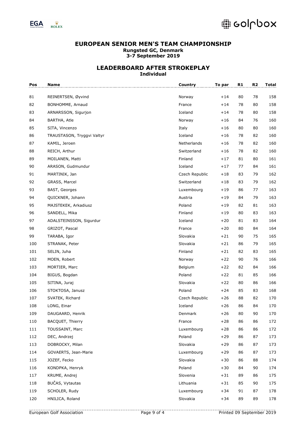

| Pos | Name                       | <b>Country</b> | To par | R1 | R2 | <b>Total</b> |
|-----|----------------------------|----------------|--------|----|----|--------------|
| 81  | REINERTSEN, Øyvind         | Norway         | $+14$  | 80 | 78 | 158          |
| 82  | BONHOMME, Arnaud           | France         | $+14$  | 78 | 80 | 158          |
| 83  | ARNARSSON, Sigurjon        | Iceland        | $+14$  | 78 | 80 | 158          |
| 84  | BARTHA, Atle               | Norway         | $+16$  | 84 | 76 | 160          |
| 85  | SITA, Vincenzo             | Italy          | $+16$  | 80 | 80 | 160          |
| 86  | TRAUSTASON, Tryggvi Valtyr | Iceland        | $+16$  | 78 | 82 | 160          |
| 87  | KAMIL, Jeroen              | Netherlands    | $+16$  | 78 | 82 | 160          |
| 88  | REICH, Arthur              | Switzerland    | $+16$  | 78 | 82 | 160          |
| 89  | MOILANEN, Matti            | Finland        | $+17$  | 81 | 80 | 161          |
| 90  | ARASON, Gudmundur          | Iceland        | $+17$  | 77 | 84 | 161          |
| 91  | MARTINIK, Jan              | Czech Republic | $+18$  | 83 | 79 | 162          |
| 92  | GRASS, Marcel              | Switzerland    | $+18$  | 83 | 79 | 162          |
| 93  | BAST, Georges              | Luxembourg     | $+19$  | 86 | 77 | 163          |
| 94  | QUICKNER, Johann           | Austria        | $+19$  | 84 | 79 | 163          |
| 95  | MAJSTEKEK, Arkadiusz       | Poland         | $+19$  | 82 | 81 | 163          |
| 96  | SANDELL, Mika              | Finland        | $+19$  | 80 | 83 | 163          |
| 97  | ADALSTEINSSON, Sigurdur    | Iceland        | $+20$  | 81 | 83 | 164          |
| 98  | GRIZOT, Pascal             | France         | $+20$  | 80 | 84 | 164          |
| 99  | TARABA, Igor               | Slovakia       | $+21$  | 90 | 75 | 165          |
| 100 | STRANAK, Peter             | Slovakia       | $+21$  | 86 | 79 | 165          |
| 101 | SELIN, Juha                | Finland        | $+21$  | 82 | 83 | 165          |
| 102 | MOEN, Robert               | Norway         | $+22$  | 90 | 76 | 166          |
| 103 | MORTIER, Marc              | Belgium        | $+22$  | 82 | 84 | 166          |
| 104 | BIGUS, Bogdan              | Poland         | $+22$  | 81 | 85 | 166          |
| 105 | SITINA, Juraj              | Slovakia       | $+22$  | 80 | 86 | 166          |
| 106 | STOKTOSA, Janusz           | Poland         | $+24$  | 85 | 83 | 168          |
| 107 | SVATEK, Richard            | Czech Republic | $+26$  | 88 | 82 | 170          |
| 108 | LONG, Einar                | Iceland        | $+26$  | 86 | 84 | 170          |
| 109 | DAUGAARD, Henrik           | Denmark        | $+26$  | 80 | 90 | 170          |
| 110 | BACQUET, Thierry           | France         | $+28$  | 86 | 86 | 172          |
| 111 | TOUSSAINT, Marc            | Luxembourg     | $+28$  | 86 | 86 | 172          |
| 112 | DEC, Andrzej               | Poland         | $+29$  | 86 | 87 | 173          |
| 113 | DOBROCKY, Milan            | Slovakia       | $+29$  | 86 | 87 | 173          |
| 114 | GOVAERTS, Jean-Marie       | Luxembourg     | $+29$  | 86 | 87 | 173          |
| 115 | JOZEF, Fecko               | Slovakia       | $+30$  | 86 | 88 | 174          |
| 116 | KONDPKA, Henryk            | Poland         | $+30$  | 84 | 90 | 174          |
| 117 | KRUME, Andrej              | Slovenia       | $+31$  | 89 | 86 | 175          |
| 118 | BUČAS, Vytautas            | Lithuania      | $+31$  | 85 | 90 | 175          |
| 119 | SCHOLER, Rudy              | Luxembourg     | $+34$  | 91 | 87 | 178          |
| 120 | HNILICA, Roland            | Slovakia       | $+34$  | 89 | 89 | 178          |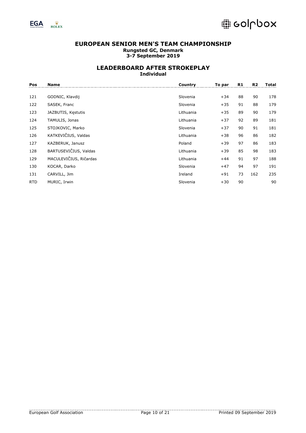

| Pos        | <b>Name</b>            | Country   | To par | R1 | R <sub>2</sub> | Total |
|------------|------------------------|-----------|--------|----|----------------|-------|
|            |                        |           |        |    |                |       |
| 121        | GODNIC, Klavdij        | Slovenia  | $+34$  | 88 | 90             | 178   |
| 122        | SASEK, Franc           | Slovenia  | $+35$  | 91 | 88             | 179   |
| 123        | JAZBUTIS, Kestutis     | Lithuania | $+35$  | 89 | 90             | 179   |
| 124        | TAMULIS, Jonas         | Lithuania | $+37$  | 92 | 89             | 181   |
| 125        | STOJKOVIC, Marko       | Slovenia  | $+37$  | 90 | 91             | 181   |
| 126        | KATKEVIČIUS, Valdas    | Lithuania | $+38$  | 96 | 86             | 182   |
| 127        | KAZBERUK, Janusz       | Poland    | $+39$  | 97 | 86             | 183   |
| 128        | BARTUSEVIČIUS, Valdas  | Lithuania | $+39$  | 85 | 98             | 183   |
| 129        | MACULEVIČIUS, Ričardas | Lithuania | $+44$  | 91 | 97             | 188   |
| 130        | KOCAR, Darko           | Slovenia  | $+47$  | 94 | 97             | 191   |
| 131        | CARVILL, Jim           | Ireland   | $+91$  | 73 | 162            | 235   |
| <b>RTD</b> | MURIC, Irwin           | Slovenia  | $+30$  | 90 |                | 90    |
|            |                        |           |        |    |                |       |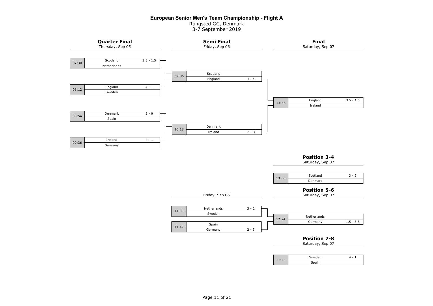### **European Senior Men's Team Championship - Flight A**

Rungsted GC, Denmark 3-7 September 2019

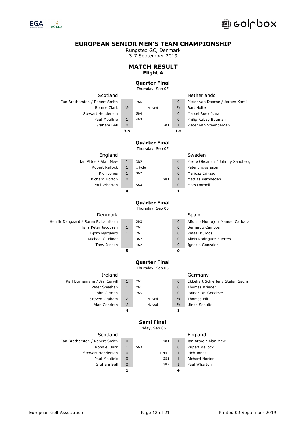

Rungsted GC, Denmark

3-7 September 2019

# **MATCH RESULT Flight A**

# **Quarter Final**

Thursday, Sep 05

| Scotland                             |               |                                          |               | Netherlands                        |
|--------------------------------------|---------------|------------------------------------------|---------------|------------------------------------|
| Ian Brotherston / Robert Smith       | $\mathbf{1}$  | 7&6                                      | 0             | Pieter van Doorne / Jeroen Kamil   |
| Ronnie Clark                         | 1/2           | Halved                                   | $\frac{1}{2}$ | <b>Bart Nolte</b>                  |
| <b>Stewart Henderson</b>             | $\mathbf{1}$  | 5&4                                      | 0             | Marcel Roelofsma                   |
| Paul Moultrie                        | $\mathbf{1}$  | 4&3                                      | 0             | Philip Rubay Bouman                |
| Graham Bell                          | 0             | 2&1                                      | 1             | Pieter van Steenbergen             |
|                                      | 3.5           |                                          | 1.5           |                                    |
|                                      |               |                                          |               |                                    |
|                                      |               | <b>Quarter Final</b><br>Thursday, Sep 05 |               |                                    |
| England                              |               |                                          |               | Sweden                             |
| Ian Attoe / Alan Mew                 | $\mathbf{1}$  | 3&2                                      | 0             | Pierre Oksanen / Johnny Sandberg   |
| Rupert Kellock                       | $\mathbf{1}$  | 1 Hole                                   | 0             | Peter Ingvarsson                   |
| Rich Jones                           | $\mathbf{1}$  | 3&2                                      | $\mathbf 0$   | Mariusz Eriksson                   |
| Richard Norton                       | 0             | 2&1                                      | 1             | Mattias Pernheden                  |
| Paul Wharton                         | $\mathbf{1}$  | 5&4                                      | 0             | Mats Dornell                       |
|                                      | 4             |                                          | 1             |                                    |
|                                      |               |                                          |               |                                    |
|                                      |               | <b>Quarter Final</b>                     |               |                                    |
|                                      |               | Thursday, Sep 05                         |               |                                    |
| Denmark                              |               |                                          |               | Spain                              |
| Henrik Daugaard / Søren B. Lauritsen | $\mathbf{1}$  | 3&2                                      | $\mathbf 0$   | Alfonso Montojo / Manuel Carballal |
| Hans Peter Jacobsen                  | $\mathbf{1}$  | 2&1                                      | 0             | Bernardo Campos                    |
| Bjørn Nørgaard                       | $\mathbf{1}$  | 2&1                                      | 0             | Rafael Burgos                      |
| Michael C. Flindt                    | $\mathbf{1}$  | 3&2                                      | $\mathbf 0$   | Alicio Rodriguez Fuertes           |
| Tony Jensen                          | $\mathbf{1}$  | 4&2                                      | $\mathbf 0$   | Ignacio González                   |
|                                      | 5             |                                          | 0             |                                    |
|                                      |               |                                          |               |                                    |
|                                      |               | <b>Quarter Final</b>                     |               |                                    |
|                                      |               | Thursday, Sep 05                         |               |                                    |
| Ireland                              |               |                                          |               | Germany                            |
| Karl Bornemann / Jim Carvill         | $\mathbf{1}$  | 2&1                                      | 0             | Ekkehart Schieffer / Stefan Sachs  |
| Peter Sheehan                        | $\mathbf{1}$  | 2&1                                      | 0             | Thomas Krieger                     |
| John O'Brien                         | $\mathbf{1}$  | 7&5                                      | 0             | Rainer Dr. Goedeke                 |
| Steven Graham                        | $\frac{1}{2}$ | Halved                                   | $\frac{1}{2}$ | Thomas Fili                        |
| Alan Condren                         | 1/2           | Halved                                   | $\frac{1}{2}$ | Ulrich Schulte                     |
|                                      | 4             |                                          | 1             |                                    |
|                                      |               | Semi Final                               |               |                                    |
|                                      |               | Friday, Sep 06                           |               |                                    |
| Scotland                             |               |                                          |               | England                            |
| Ian Brotherston / Robert Smith       | 0             | 2&1                                      | $\mathbf{1}$  | Ian Attoe / Alan Mew               |
| Ronnie Clark                         | $\mathbf{1}$  | 5&3                                      | $\mathbf 0$   | Rupert Kellock                     |
| Stewart Henderson                    | 0             | 1 Hole                                   | 1             | Rich Jones                         |
| Paul Moultrie                        | 0             | 2&1                                      | 1             | Richard Norton                     |
| Graham Bell                          | 0             | 3&2                                      | $\mathbf{1}$  | Paul Wharton                       |
|                                      | 1             |                                          | 4             |                                    |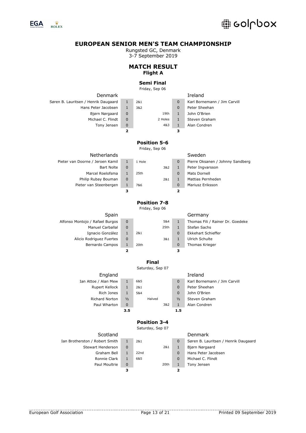

Rungsted GC, Denmark

3-7 September 2019

### **MATCH RESULT Flight A**

# **Semi Final**

Friday, Sep 06

| Denmark                              |                         |                     |                         | Ireland                              |
|--------------------------------------|-------------------------|---------------------|-------------------------|--------------------------------------|
| Søren B. Lauritsen / Henrik Daugaard | 1                       | 2&1                 | $\mathbf 0$             | Karl Bornemann / Jim Carvill         |
| Hans Peter Jacobsen                  | $\mathbf{1}$            | 3&2                 | $\overline{0}$          | Peter Sheehan                        |
| Bjørn Nørgaard                       | $\overline{0}$          | 19th                | $\mathbf{1}$            | John O'Brien                         |
| Michael C. Flindt                    | $\mathbf 0$             | 2 Holes             | $\mathbf{1}$            | Steven Graham                        |
| Tony Jensen                          | $\mathbf 0$             | 4&3                 | $\mathbf{1}$            | Alan Condren                         |
|                                      | $\overline{2}$          |                     | 3                       |                                      |
|                                      |                         | <b>Position 5-6</b> |                         |                                      |
|                                      |                         | Friday, Sep 06      |                         |                                      |
| Netherlands                          |                         |                     |                         | Sweden                               |
| Pieter van Doorne / Jeroen Kamil     | $\mathbf{1}$            | 1 Hole              | $\overline{0}$          | Pierre Oksanen / Johnny Sandberg     |
| <b>Bart Nolte</b>                    | $\mathbf 0$             | 3&2                 | $\mathbf{1}$            | Peter Ingvarsson                     |
| Marcel Roelofsma                     | $\mathbf{1}$            | 25th                | $\mathbf{0}$            | Mats Dornell                         |
| Philip Rubay Bouman                  | $\overline{0}$          | 2&1                 | $\mathbf{1}$            | Mattias Pernheden                    |
| Pieter van Steenbergen               | $1\,$                   | 7&6                 | $\mathbf 0$             | Mariusz Eriksson                     |
|                                      | з                       |                     | $\overline{\mathbf{z}}$ |                                      |
|                                      |                         | <b>Position 7-8</b> |                         |                                      |
|                                      |                         | Friday, Sep 06      |                         |                                      |
| Spain                                |                         |                     |                         | Germany                              |
| Alfonso Montojo / Rafael Burgos      | 0                       | 5&4                 | $\mathbf{1}$            | Thomas Fili / Rainer Dr. Goedeke     |
| Manuel Carballal                     | $\overline{0}$          | 25th                | $\mathbf{1}$            | Stefan Sachs                         |
| Ignacio González                     | $\mathbf{1}$            | 2&1                 | $\overline{0}$          | Ekkehart Schieffer                   |
| Alicio Rodriguez Fuertes             | 0                       | 3&1                 | $\mathbf{1}$            | Ulrich Schulte                       |
| Bernardo Campos                      | $\mathbf{1}$            | 20th                | $\overline{0}$          | Thomas Krieger                       |
|                                      | $\overline{\mathbf{2}}$ |                     | 3                       |                                      |
|                                      |                         | <b>Final</b>        |                         |                                      |
|                                      |                         | Saturday, Sep 07    |                         |                                      |
| England                              |                         |                     |                         | Ireland                              |
| Ian Attoe / Alan Mew                 | $\mathbf{1}$            | 6&5                 | $\mathbf{0}$            | Karl Bornemann / Jim Carvill         |
| Rupert Kellock                       | $\mathbf{1}$            | 2&1                 | $\mathbf{0}$            | Peter Sheehan                        |
| Rich Jones                           | $\mathbf{1}$            | 5&4                 | $\mathbf{0}$            | John O'Brien                         |
| Richard Norton                       | $\frac{1}{2}$           | Halved              | $\frac{1}{2}$           | Steven Graham                        |
| Paul Wharton                         | $\mathbf 0$             | 3&2                 | $\mathbf{1}$            | Alan Condren                         |
|                                      | 3.5                     |                     | 1.5                     |                                      |
|                                      |                         | <b>Position 3-4</b> |                         |                                      |
|                                      |                         | Saturday, Sep 07    |                         |                                      |
| Scotland                             |                         |                     |                         | Denmark                              |
| Ian Brotherston / Robert Smith       | $\mathbf{1}$            | 2&1                 | $\overline{0}$          | Søren B. Lauritsen / Henrik Daugaard |

Stewart Henderson 0 2&1 1 Bjørn Nørgaard

Graham Bell 1 22nd 1 0 Hans Peter Jacobsen Ronnie Clark 1 6&5 0 Michael C. Flindt Paul Moultrie 0 20th 1 Tony Jensen **3 2**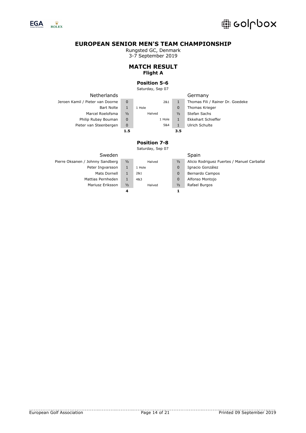

Rungsted GC, Denmark

3-7 September 2019

# **MATCH RESULT Flight A**

### **Position 5-6**

Saturday, Sep 07

|                                  | 1.5           |        | 3.5           |                                  |
|----------------------------------|---------------|--------|---------------|----------------------------------|
| Pieter van Steenbergen           | 0             | 5&4    |               | Ulrich Schulte                   |
| Philip Rubay Bouman              | $\Omega$      | 1 Hole |               | <b>Ekkehart Schieffer</b>        |
| Marcel Roelofsma                 | $\frac{1}{2}$ | Halved | $\frac{1}{2}$ | Stefan Sachs                     |
| <b>Bart Nolte</b>                |               | 1 Hole | 0             | Thomas Krieger                   |
| Jeroen Kamil / Pieter van Doorne | 0             | 2&1    |               | Thomas Fili / Rainer Dr. Goedeke |
| <b>Netherlands</b>               |               |        |               | Germany                          |

### Germany

# **Position 7-8**

| Sweden                           |               |        |               | Spain                                       |
|----------------------------------|---------------|--------|---------------|---------------------------------------------|
| Pierre Oksanen / Johnny Sandberg | $\frac{1}{2}$ | Halved | $\frac{1}{2}$ | Alicio Rodriguez Fuertes / Manuel Carballal |
| Peter Ingvarsson                 |               | 1 Hole | $\mathbf 0$   | Ignacio González                            |
| Mats Dornell                     |               | 2&1    | $\mathbf 0$   | Bernardo Campos                             |
| Mattias Pernheden                |               | 4&3    | $\mathbf 0$   | Alfonso Montojo                             |
| Mariusz Eriksson                 | $\frac{1}{2}$ | Halved | $\frac{1}{2}$ | Rafael Burgos                               |
|                                  | 4             |        |               |                                             |
|                                  |               |        |               |                                             |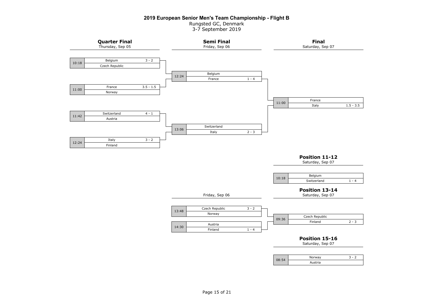#### **2019 European Senior Men's Team Championship - Flight B**

Rungsted GC, Denmark 3-7 September 2019

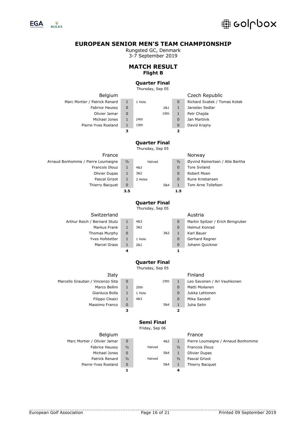

Rungsted GC, Denmark

3-7 September 2019

# **MATCH RESULT Flight B**

### **Quarter Final**

Thursday, Sep 05

| Belgium                       |              |                      |                         | Czech Republic               |
|-------------------------------|--------------|----------------------|-------------------------|------------------------------|
| Marc Mortier / Patrick Renard | $\mathbf{1}$ | 1 Hole               | $\mathbf 0$             | Richard Svatek / Tomas Kotek |
| Fabrice Haussy                | $\mathbf 0$  | 2&1                  | 1                       | Jaroslav Sedlar              |
| Olivier Jamar                 | $\mathbf 0$  | 19th                 | 1                       | Petr Chajda                  |
| Michael Jones                 | 1            | 24th                 | $\mathbf 0$             | Jan Martinik                 |
| Pierre-Yves Roeland           | 1            | 19th                 | $\mathbf 0$             | David Krajny                 |
|                               | з            |                      | $\overline{\mathbf{z}}$ |                              |
|                               |              |                      |                         |                              |
|                               |              | <b>Quarter Final</b> |                         |                              |
|                               |              | Thursday, Sep 05     |                         |                              |
| France                        |              |                      |                         | Norway                       |

| .                                  |               |         |               | .                               |
|------------------------------------|---------------|---------|---------------|---------------------------------|
| Arnaud Bonhomme / Pierre Loumaigne | $\frac{1}{2}$ | Halved  | $\frac{1}{2}$ | Øyvind Reinertsen / Atle Bartha |
| Francois Illouz                    |               | 4&3     | 0             | <b>Tore Sviland</b>             |
| Olivier Dupas                      |               | 3&2     | 0             | Robert Moen                     |
| Pascal Grizot                      |               | 2 Holes | 0             | Rune Kristiansen                |
| Thierry Bacquet                    | 0             | 5&4     |               | Tom Arne Tollefsen              |
|                                    | 3.5           |         | 1.5           |                                 |
|                                    |               |         |               |                                 |

# **Quarter Final**

Thursday, Sep 05

| Switzerland                  |  |
|------------------------------|--|
| Arthur Reich / Bernard Stutz |  |
| Markus Frank                 |  |
| Thomas Murphy                |  |
| Yves Hofstetter              |  |
| Marcel Grass                 |  |
|                              |  |

|              |        |     |   | Austria            |
|--------------|--------|-----|---|--------------------|
| $\mathbf{1}$ | 4&3    |     | 0 | Martin Spitzer / E |
| $\mathbf{1}$ | 382    |     | 0 | Helmut Konrad      |
| $\Omega$     |        | 3&2 | 1 | Karl Bauer         |
| $\mathbf{1}$ | 1 Hole |     | 0 | Gerhard Regner     |
| $\mathbf{1}$ | 2&1    |     | 0 | Johann Quickner    |
| 4            |        |     |   |                    |

# Austria 1 4&3 0 Martin Spitzer / Erich Birngruber<br>
1 3&2 0 Helmut Konrad<br>
1 1 Hole 0 Gerhard Regner Helmut Konrad Karl Bauer Gerhard Regner

**Quarter Final**

Thursday, Sep 05

| Italy                            |   |       |
|----------------------------------|---|-------|
| Marcello Grauban / Vincenzo Sita | O |       |
| Marco Bellini                    | 1 | 20th  |
| Gianluca Bolla                   | 1 | 1 Hol |
| Filippo Cleaici                  | 1 | 4&3   |
| Massimo Franco                   | 0 |       |
|                                  |   |       |

| 0            |        | 19th | 1 |
|--------------|--------|------|---|
| $\mathbf{1}$ | 20th   |      | 0 |
| $\mathbf{1}$ | 1 Hole |      | 0 |
| $\mathbf{1}$ | 4&3    |      | 0 |
| 0            |        | 5&4  | 1 |
| з            |        |      | 2 |

#### Finland Leo Savonen / Ari Vauhkonen Matti Moilanen Jukka Lehtonen

Mika Sandell Juha Selin

# **Semi Final**

Friday, Sep 06

| Belgium                      |               |        |     |               | France                             |
|------------------------------|---------------|--------|-----|---------------|------------------------------------|
| Marc Mortier / Olivier Jamar | O             |        | 4&2 |               | Pierre Loumaigne / Arnaud Bonhomme |
| <b>Fabrice Haussy</b>        | $\frac{1}{2}$ | Halved |     | $\frac{1}{2}$ | Francois Illouz                    |
| Michael Jones                | 0             |        | 5&4 |               | Olivier Dupas                      |
| Patrick Renard               | $\frac{1}{2}$ | Halved |     | $\frac{1}{2}$ | Pascal Grizot                      |
| Pierre-Yves Roeland          | 0             |        | 5&4 |               | Thierry Bacquet                    |
|                              |               |        |     |               |                                    |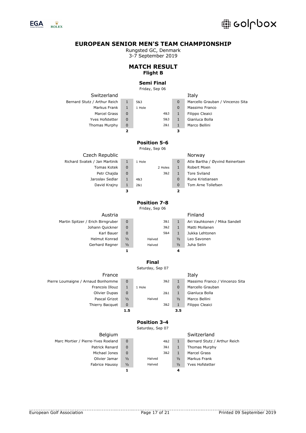

Rungsted GC, Denmark

3-7 September 2019

# **MATCH RESULT Flight B**

# **Semi Final**

Friday, Sep 06

| Switzerland                   |                         |                                       |              | Italy                            |
|-------------------------------|-------------------------|---------------------------------------|--------------|----------------------------------|
| Bernard Stutz / Arthur Reich  | $\mathbf{1}$            | 5&3                                   | $\mathbf 0$  | Marcello Grauban / Vincenzo Sita |
| Markus Frank                  | $\mathbf{1}$            | 1 Hole                                | $\mathbf 0$  | Massimo Franco                   |
| Marcel Grass                  | 0                       | 4&3                                   | 1            | Filippo Cleaici                  |
| <b>Yves Hofstetter</b>        | $\mathbf 0$             | 5&3                                   | $\mathbf{1}$ | Gianluca Bolla                   |
| Thomas Murphy                 | $\mathbf 0$             | 2&1                                   | $\mathbf{1}$ | Marco Bellini                    |
|                               | $\overline{\mathbf{2}}$ |                                       | з            |                                  |
|                               |                         | <b>Position 5-6</b><br>Friday, Sep 06 |              |                                  |
| Czech Republic                |                         |                                       |              | Norway                           |
| Richard Svatek / Jan Martinik | $\mathbf{1}$            | 1 Hole                                | $\mathbf 0$  | Atle Bartha / Øyvind Reinertsen  |
| Tomas Kotek                   | $\mathbf 0$             | 2 Holes                               | $\mathbf{1}$ | Robert Moen                      |
| Petr Chajda                   | $\mathbf 0$             | 3&2                                   | $\mathbf{1}$ | Tore Sviland                     |
| Jaroslav Sedlar               | $\mathbf{1}$            | 4&3                                   | $\mathbf 0$  | Rune Kristiansen                 |
| David Krajny                  | 1                       | 2&1                                   | $\mathbf 0$  | Tom Arne Tollefsen               |

# **Position 7-8**

**3 2**

Friday, Sep 06

| Austria                           |               |        |               | Filildilu                    |
|-----------------------------------|---------------|--------|---------------|------------------------------|
| Martin Spitzer / Erich Birngruber | 0             | 3&1    |               | Ari Vauhkonen / Mika Sandell |
| Johann Quickner                   | 0             | 3&2    |               | Matti Moilanen               |
| Karl Bauer                        | 0             | 5&4    |               | Jukka Lehtonen               |
| Helmut Konrad                     | $\frac{1}{2}$ | Halved | $\frac{1}{2}$ | Leo Savonen                  |
| Gerhard Regner                    | $\frac{1}{2}$ | Halved | $\frac{1}{2}$ | Juha Selin                   |
|                                   |               |        |               |                              |

| Austria          |               |        |               | Finland        |
|------------------|---------------|--------|---------------|----------------|
| Erich Birngruber | $\Omega$      | 3&1    | 1             | Ari Vauhkonen  |
| Johann Quickner  | $\Omega$      | 3&2    | 4             | Matti Moilanen |
| Karl Bauer       | $\Omega$      | 5&4    | 1             | Jukka Lehtonen |
| Helmut Konrad    | $\frac{1}{2}$ | Halved | $\frac{1}{2}$ | Leo Savonen    |
| Gerhard Regner   | $\frac{1}{2}$ | Halved | $\frac{1}{2}$ | Juha Selin     |
|                  |               |        |               |                |

|            | Finland                    |
|------------|----------------------------|
| 1          | Ari Vauhkonen / Mika Sande |
| 1          | Matti Moilanen             |
| 1          | Jukka Lehtonen             |
| $\sqrt{2}$ | Leo Savonen                |
| $\sqrt{2}$ | Juha Selin                 |
|            |                            |

### **Final**

Saturday, Sep 07

| France                             |               |        |     |               | Italy                          |
|------------------------------------|---------------|--------|-----|---------------|--------------------------------|
| Pierre Loumaigne / Arnaud Bonhomme | 0             |        | 3&2 |               | Massimo Franco / Vincenzo Sita |
| Francois Illouz                    |               | 1 Hole |     | 0             | Marcello Grauban               |
| Olivier Dupas                      | 0             |        | 2&1 |               | Gianluca Bolla                 |
| Pascal Grizot                      | $\frac{1}{2}$ | Halved |     | $\frac{1}{2}$ | Marco Bellini                  |
| Thierry Bacquet                    | 0             |        | 3&2 |               | Filippo Cleaici                |
|                                    | 1.5           |        |     | 3.5           |                                |

|        |     |               | Italy            |
|--------|-----|---------------|------------------|
|        | 382 | 1             | Massimo Franco / |
| 1 Hole |     | 0             | Marcello Grauban |
|        | 2&1 | 1             | Gianluca Bolla   |
| Halved |     | $\frac{1}{2}$ | Marco Bellini    |
|        | 3&2 | 1             | Filippo Cleaici  |
|        |     | 3.5           |                  |

# Italy 1 Gianluca Bolla <sup>1</sup>/<sub>2</sub> Marco Bellini 1 Filippo Cleaici

# **Position 3-4**

| Belgium                            |               |        |               | Switzerland                  |
|------------------------------------|---------------|--------|---------------|------------------------------|
| Marc Mortier / Pierre-Yves Roeland | $\Omega$      | 4&2    |               | Bernard Stutz / Arthur Reich |
| Patrick Renard                     | $\Omega$      | 3&1    |               | Thomas Murphy                |
| Michael Jones                      | $\Omega$      | 3&2    |               | Marcel Grass                 |
| Olivier Jamar                      | $\frac{1}{2}$ | Halved | $\frac{1}{2}$ | Markus Frank                 |
| Fabrice Haussy                     | $\frac{1}{2}$ | Halved | $\frac{1}{2}$ | <b>Yves Hofstetter</b>       |
|                                    |               |        | 4             |                              |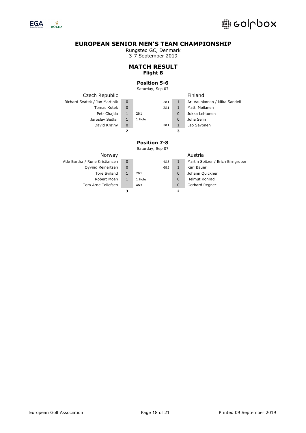

Rungsted GC, Denmark

3-7 September 2019

# **MATCH RESULT Flight B**

# **Position 5-6**

Saturday, Sep 07

| Czech Republic                |             |        |     |             | Finland                      |
|-------------------------------|-------------|--------|-----|-------------|------------------------------|
| Richard Svatek / Jan Martinik | $\mathbf 0$ |        | 2&1 |             | Ari Vauhkonen / Mika Sandell |
| Tomas Kotek                   | 0           |        | 2&1 |             | Matti Moilanen               |
| Petr Chajda                   | 1           | 2&1    |     | $\mathbf 0$ | Jukka Lehtonen               |
| Jaroslav Sedlar               | 1           | 1 Hole |     | $\Omega$    | Juha Selin                   |
| David Krajny                  | 0           |        | 3&1 |             | Leo Savonen                  |
|                               | 2           |        |     | з           |                              |
|                               |             |        |     |             |                              |
|                               |             | .      |     |             |                              |

**Position 7-8**

| Norway                         |   |        |     |   | Austria                           |
|--------------------------------|---|--------|-----|---|-----------------------------------|
| Atle Bartha / Rune Kristiansen | 0 |        | 4&3 |   | Martin Spitzer / Erich Birngruber |
| Øyvind Reinertsen              | 0 |        | 6&5 |   | Karl Bauer                        |
| <b>Tore Sviland</b>            |   | 2&1    |     | 0 | Johann Quickner                   |
| Robert Moen                    |   | 1 Hole |     | 0 | <b>Helmut Konrad</b>              |
| Tom Arne Tollefsen             |   | 4&3    |     | 0 | Gerhard Regner                    |
|                                | з |        |     |   |                                   |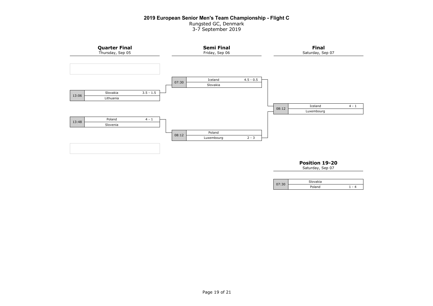# **2019 European Senior Men's Team Championship - Flight C**

Rungsted GC, Denmark

3-7 September 2019



# **Position 19-20**

|      | Slovakia |        |
|------|----------|--------|
| 7:30 | Poland   | ٠<br>Δ |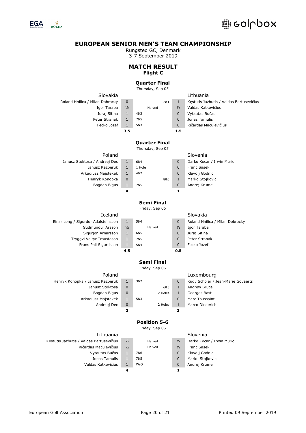

Rungsted GC, Denmark

3-7 September 2019

# **MATCH RESULT Flight C**

# **Quarter Final**

Thursday, Sep 05

| Slovakia                                 |                     |        |                                          |                   | Lithuania                                |
|------------------------------------------|---------------------|--------|------------------------------------------|-------------------|------------------------------------------|
| Roland Hnilica / Milan Dobrocky          | 0                   |        | 2&1                                      | $\mathbf{1}$      | Kęstutis Jazbutis / Valdas Bartusevičius |
| Igor Taraba                              | 1/2                 |        | Halved                                   | 1/2               | Valdas Katkevičius                       |
| Juraj Sitina                             | $\mathbf{1}$        | 4&3    |                                          | 0                 | Vytautas Bučas                           |
| Peter Stranak                            | $\mathbf{1}$        | 7&5    |                                          | $\mathbf 0$       | Jonas Tamulis                            |
| Fecko Jozef                              | $\mathbf{1}$        | 5&3    |                                          | $\mathbf 0$       | Ričardas Maculevičius                    |
|                                          | 3.5                 |        |                                          | $1.5\,$           |                                          |
|                                          |                     |        |                                          |                   |                                          |
|                                          |                     |        | <b>Quarter Final</b><br>Thursday, Sep 05 |                   |                                          |
| Poland                                   |                     |        |                                          |                   | Slovenia                                 |
| Janusz Stoktosa / Andrzej Dec            | $\mathbf{1}$        | 6&4    |                                          | $\pmb{0}$         | Darko Kocar / Irwin Muric                |
| Janusz Kazberuk                          | $\mathbf{1}$        | 1 Hole |                                          | 0                 | Franc Sasek                              |
| Arkadiusz Majstekek                      | $\mathbf{1}$        | 4&2    |                                          | 0                 | Klavdij Godnic                           |
| Henryk Konopka                           | 0                   |        | 8&6                                      | $\mathbf{1}$      | Marko Stojkovic                          |
| Bogdan Bigus                             | $\mathbf{1}$        | 7&5    |                                          | $\mathbf 0$       | Andrej Krume                             |
|                                          | 4                   |        |                                          | 1                 |                                          |
|                                          |                     |        |                                          |                   |                                          |
|                                          |                     |        | <b>Semi Final</b>                        |                   |                                          |
|                                          |                     |        | Friday, Sep 06                           |                   |                                          |
| Iceland                                  |                     |        |                                          |                   | Slovakia                                 |
| Einar Long / Sigurdur Adalsteinsson      | $\mathbf{1}$        | 5&4    |                                          | 0                 | Roland Hnilica / Milan Dobrocky          |
| Gudmundur Arason                         | 1/2                 |        | Halved                                   | $\frac{1}{2}$     | Igor Taraba                              |
| Sigurjon Arnarsson                       | $\mathbf{1}$        | 6&5    |                                          | 0                 | Juraj Sitina                             |
| Tryggvi Valtyr Traustason                | $\mathbf{1}$        | 7&5    |                                          | 0                 | Peter Stranak                            |
| Frans Pall Sigurdsson                    | $\mathbf{1}$<br>4.5 | 5&4    |                                          | 0<br>0.5          | Fecko Jozef                              |
|                                          |                     |        |                                          |                   |                                          |
|                                          |                     |        | Semi Final                               |                   |                                          |
|                                          |                     |        | Friday, Sep 06                           |                   |                                          |
| Poland                                   |                     |        |                                          |                   | Luxembourg                               |
| Henryk Konopka / Janusz Kazberuk         | $\mathbf{1}$        | 3&2    |                                          | $\bf 0$           | Rudy Scholer / Jean-Marie Govaerts       |
| Janusz Stoktosa                          | 0                   |        | 6&5                                      | $\mathbf{1}$      | Andrew Bruce                             |
| Bogdan Bigus                             | 0                   |        | 2 Holes                                  | $\mathbf{1}$      | Georges Bast                             |
| Arkadiusz Majstekek                      | $\mathbf{1}$        | 5&3    |                                          | $\pmb{0}$         | Marc Toussaint                           |
| Andrzej Dec                              | 0<br>2              |        | 2 Holes                                  | $\mathbf{1}$<br>з | Marco Diederich                          |
|                                          |                     |        |                                          |                   |                                          |
|                                          |                     |        | <b>Position 5-6</b>                      |                   |                                          |
|                                          |                     |        | Friday, Sep 06                           |                   |                                          |
| Lithuania                                |                     |        |                                          |                   | Slovenia                                 |
| Kęstutis Jazbutis / Valdas Bartusevičius | 1/2                 |        | Halved                                   | $\frac{1}{2}$     | Darko Kocar / Irwin Muric                |
| Ričardas Maculevičius                    | 1/2                 |        | Halved                                   | $\frac{1}{2}$     | <b>Franc Sasek</b>                       |
| Vytautas Bučas                           | $\mathbf{1}$        | 7&6    |                                          | 0                 | Klavdij Godnic                           |
| Jonas Tamulis                            | $\mathbf{1}$        | 7&5    |                                          | 0                 | Marko Stojkovic                          |
| Valdas Katkevičius                       | $\mathbf{1}$        | W/O    |                                          | $\pmb{0}$         | Andrej Krume                             |
|                                          | 4                   |        |                                          | 1                 |                                          |